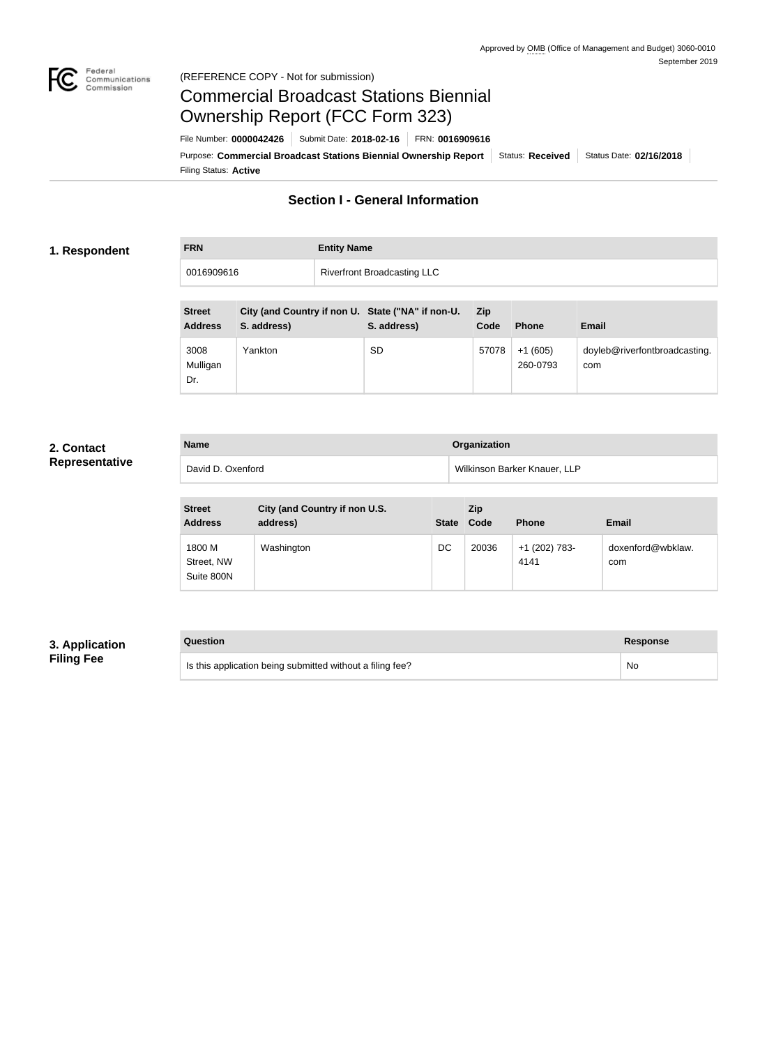

### Federal<br>Communications<br>Commission (REFERENCE COPY - Not for submission)

# Commercial Broadcast Stations Biennial Ownership Report (FCC Form 323)

Filing Status: **Active** Purpose: Commercial Broadcast Stations Biennial Ownership Report Status: Received Status Date: 02/16/2018 File Number: **0000042426** Submit Date: **2018-02-16** FRN: **0016909616**

# **Section I - General Information**

#### **1. Respondent**

| <b>FRN</b> | <b>Entity Name</b>                 |
|------------|------------------------------------|
| 0016909616 | <b>Riverfront Broadcasting LLC</b> |

| <b>Street</b><br><b>Address</b> | City (and Country if non U. State ("NA" if non-U.<br>S. address) | S. address) | <b>Zip</b><br>Code | <b>Phone</b>          | <b>Email</b>                         |
|---------------------------------|------------------------------------------------------------------|-------------|--------------------|-----------------------|--------------------------------------|
| 3008<br>Mulligan<br>Dr.         | Yankton                                                          | <b>SD</b>   | 57078              | $+1(605)$<br>260-0793 | doyleb@riverfontbroadcasting.<br>com |

## **2. Contact Representative**

| <b>Name</b>       | Organization                 |
|-------------------|------------------------------|
| David D. Oxenford | Wilkinson Barker Knauer, LLP |

| <b>Street</b><br><b>Address</b>    | City (and Country if non U.S.<br>address) | <b>State</b> | <b>Zip</b><br>Code | <b>Phone</b>          | Email                    |
|------------------------------------|-------------------------------------------|--------------|--------------------|-----------------------|--------------------------|
| 1800 M<br>Street, NW<br>Suite 800N | Washington                                | DC           | 20036              | +1 (202) 783-<br>4141 | doxenford@wbklaw.<br>com |

# **3. Application Filing Fee**

| Question                                                  | <b>Response</b> |
|-----------------------------------------------------------|-----------------|
| Is this application being submitted without a filing fee? | No              |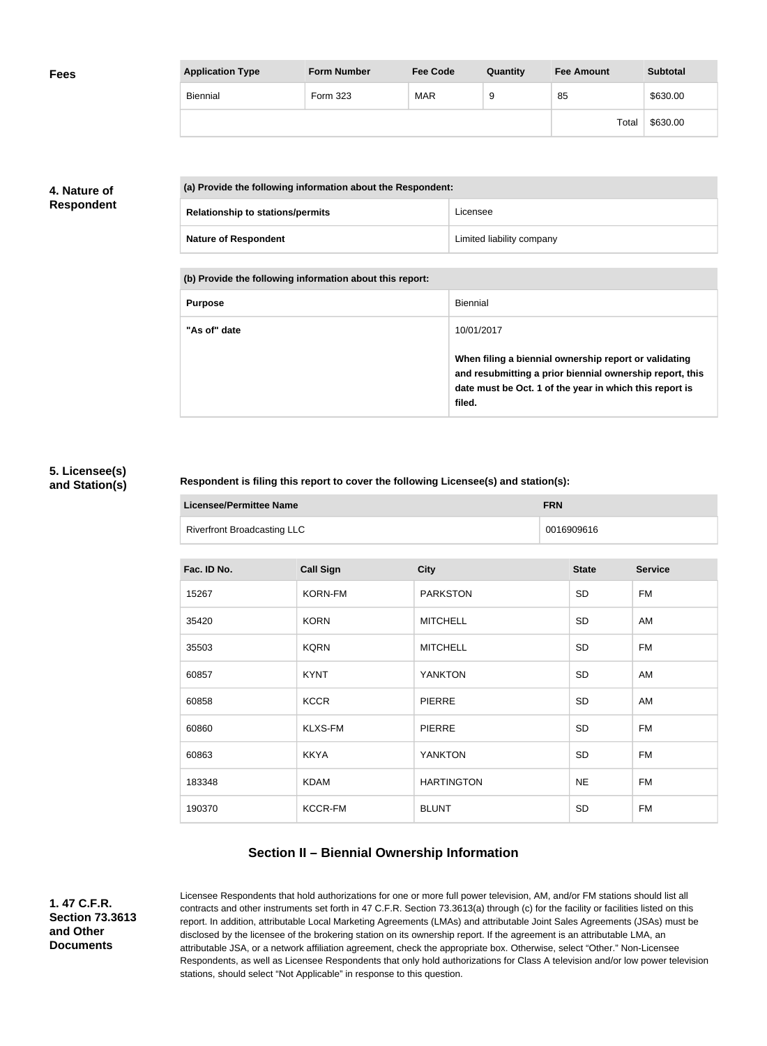| <b>Fees</b> | <b>Application Type</b> | <b>Form Number</b> | <b>Fee Code</b> | Quantity | <b>Fee Amount</b> | <b>Subtotal</b> |
|-------------|-------------------------|--------------------|-----------------|----------|-------------------|-----------------|
|             | Biennial                | Form 323           | <b>MAR</b>      | 9        | 85                | \$630.00        |
|             |                         |                    |                 |          | Total             | \$630.00        |

# **4. Nature of Respondent**

| (a) Provide the following information about the Respondent: |                           |  |
|-------------------------------------------------------------|---------------------------|--|
| <b>Relationship to stations/permits</b>                     | Licensee                  |  |
| <b>Nature of Respondent</b>                                 | Limited liability company |  |

**(b) Provide the following information about this report:**

| <b>Purpose</b> | Biennial                                                                                                                                                                               |
|----------------|----------------------------------------------------------------------------------------------------------------------------------------------------------------------------------------|
| "As of" date   | 10/01/2017                                                                                                                                                                             |
|                | When filing a biennial ownership report or validating<br>and resubmitting a prior biennial ownership report, this<br>date must be Oct. 1 of the year in which this report is<br>filed. |

## **5. Licensee(s) and Station(s)**

### **Respondent is filing this report to cover the following Licensee(s) and station(s):**

| <b>Licensee/Permittee Name</b>     | <b>FRN</b> |
|------------------------------------|------------|
| <b>Riverfront Broadcasting LLC</b> | 0016909616 |

| Fac. ID No. | <b>Call Sign</b> | <b>City</b>       | <b>State</b> | <b>Service</b> |
|-------------|------------------|-------------------|--------------|----------------|
| 15267       | <b>KORN-FM</b>   | <b>PARKSTON</b>   | SD           | <b>FM</b>      |
| 35420       | <b>KORN</b>      | <b>MITCHELL</b>   | <b>SD</b>    | AM             |
| 35503       | <b>KQRN</b>      | <b>MITCHELL</b>   | SD           | <b>FM</b>      |
| 60857       | <b>KYNT</b>      | <b>YANKTON</b>    | SD           | AM             |
| 60858       | <b>KCCR</b>      | <b>PIERRE</b>     | SD           | AM             |
| 60860       | <b>KLXS-FM</b>   | <b>PIERRE</b>     | <b>SD</b>    | <b>FM</b>      |
| 60863       | <b>KKYA</b>      | <b>YANKTON</b>    | SD           | <b>FM</b>      |
| 183348      | <b>KDAM</b>      | <b>HARTINGTON</b> | <b>NE</b>    | <b>FM</b>      |
| 190370      | <b>KCCR-FM</b>   | <b>BLUNT</b>      | SD           | <b>FM</b>      |

# **Section II – Biennial Ownership Information**

**1. 47 C.F.R. Section 73.3613 and Other Documents**

Licensee Respondents that hold authorizations for one or more full power television, AM, and/or FM stations should list all contracts and other instruments set forth in 47 C.F.R. Section 73.3613(a) through (c) for the facility or facilities listed on this report. In addition, attributable Local Marketing Agreements (LMAs) and attributable Joint Sales Agreements (JSAs) must be disclosed by the licensee of the brokering station on its ownership report. If the agreement is an attributable LMA, an attributable JSA, or a network affiliation agreement, check the appropriate box. Otherwise, select "Other." Non-Licensee Respondents, as well as Licensee Respondents that only hold authorizations for Class A television and/or low power television stations, should select "Not Applicable" in response to this question.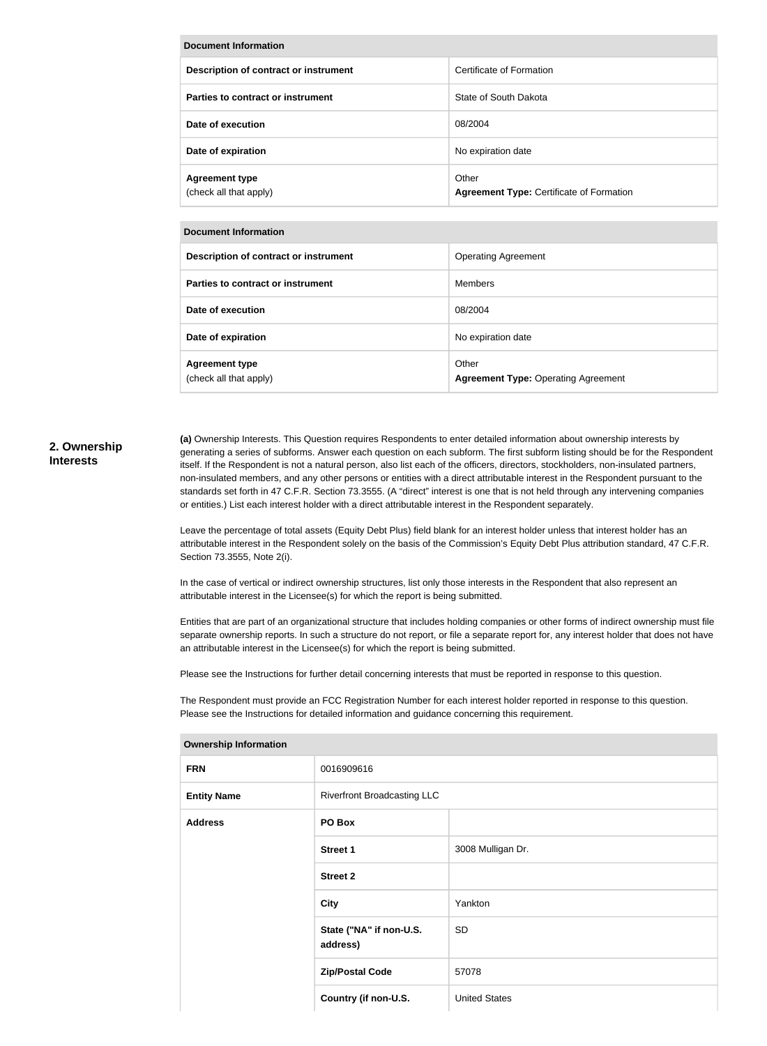| <b>Document Information</b>                     |                                                          |  |
|-------------------------------------------------|----------------------------------------------------------|--|
| Description of contract or instrument           | Certificate of Formation                                 |  |
| Parties to contract or instrument               | State of South Dakota                                    |  |
| Date of execution                               | 08/2004                                                  |  |
| Date of expiration                              | No expiration date                                       |  |
| <b>Agreement type</b><br>(check all that apply) | Other<br><b>Agreement Type: Certificate of Formation</b> |  |

| Document Information                            |                                                     |
|-------------------------------------------------|-----------------------------------------------------|
| Description of contract or instrument           | <b>Operating Agreement</b>                          |
| Parties to contract or instrument               | <b>Members</b>                                      |
| Date of execution                               | 08/2004                                             |
| Date of expiration                              | No expiration date                                  |
| <b>Agreement type</b><br>(check all that apply) | Other<br><b>Agreement Type: Operating Agreement</b> |

#### **2. Ownership Interests**

**(a)** Ownership Interests. This Question requires Respondents to enter detailed information about ownership interests by generating a series of subforms. Answer each question on each subform. The first subform listing should be for the Respondent itself. If the Respondent is not a natural person, also list each of the officers, directors, stockholders, non-insulated partners, non-insulated members, and any other persons or entities with a direct attributable interest in the Respondent pursuant to the standards set forth in 47 C.F.R. Section 73.3555. (A "direct" interest is one that is not held through any intervening companies or entities.) List each interest holder with a direct attributable interest in the Respondent separately.

Leave the percentage of total assets (Equity Debt Plus) field blank for an interest holder unless that interest holder has an attributable interest in the Respondent solely on the basis of the Commission's Equity Debt Plus attribution standard, 47 C.F.R. Section 73.3555, Note 2(i).

In the case of vertical or indirect ownership structures, list only those interests in the Respondent that also represent an attributable interest in the Licensee(s) for which the report is being submitted.

Entities that are part of an organizational structure that includes holding companies or other forms of indirect ownership must file separate ownership reports. In such a structure do not report, or file a separate report for, any interest holder that does not have an attributable interest in the Licensee(s) for which the report is being submitted.

Please see the Instructions for further detail concerning interests that must be reported in response to this question.

The Respondent must provide an FCC Registration Number for each interest holder reported in response to this question. Please see the Instructions for detailed information and guidance concerning this requirement.

| ווטוואווויטווון קוווטוטווטו |                                     |                      |
|-----------------------------|-------------------------------------|----------------------|
| <b>FRN</b>                  | 0016909616                          |                      |
| <b>Entity Name</b>          | <b>Riverfront Broadcasting LLC</b>  |                      |
| <b>Address</b>              | PO Box                              |                      |
|                             | <b>Street 1</b>                     | 3008 Mulligan Dr.    |
|                             | <b>Street 2</b>                     |                      |
|                             | <b>City</b>                         | Yankton              |
|                             | State ("NA" if non-U.S.<br>address) | <b>SD</b>            |
|                             | <b>Zip/Postal Code</b>              | 57078                |
|                             | Country (if non-U.S.                | <b>United States</b> |

#### **Ownership Information**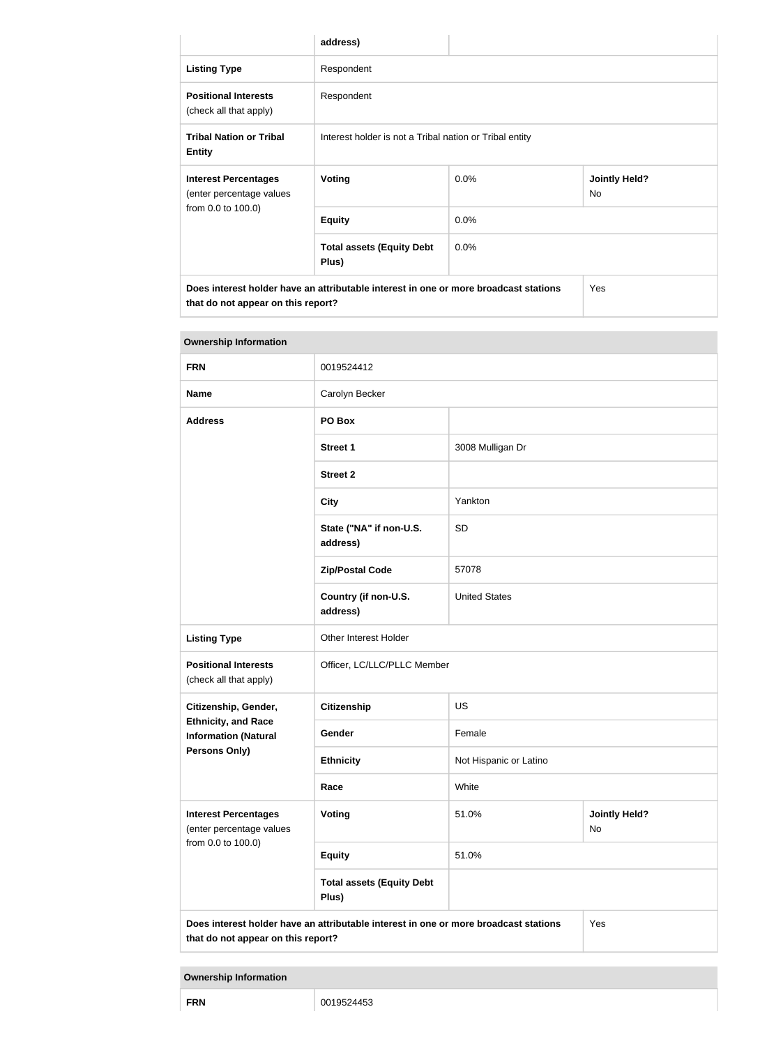|                                                                                                                            | address)                                                |         |                            |
|----------------------------------------------------------------------------------------------------------------------------|---------------------------------------------------------|---------|----------------------------|
| <b>Listing Type</b>                                                                                                        | Respondent                                              |         |                            |
| <b>Positional Interests</b><br>(check all that apply)                                                                      | Respondent                                              |         |                            |
| <b>Tribal Nation or Tribal</b><br><b>Entity</b>                                                                            | Interest holder is not a Tribal nation or Tribal entity |         |                            |
| <b>Interest Percentages</b><br>(enter percentage values                                                                    | <b>Voting</b>                                           | $0.0\%$ | <b>Jointly Held?</b><br>No |
| from 0.0 to 100.0)                                                                                                         | <b>Equity</b>                                           | 0.0%    |                            |
|                                                                                                                            | <b>Total assets (Equity Debt</b><br>Plus)               | $0.0\%$ |                            |
| Does interest holder have an attributable interest in one or more broadcast stations<br>that do not appear on this report? |                                                         | Yes     |                            |

| <b>Ownership Information</b>                                                                                                      |                                           |                        |                            |
|-----------------------------------------------------------------------------------------------------------------------------------|-------------------------------------------|------------------------|----------------------------|
| <b>FRN</b>                                                                                                                        | 0019524412                                |                        |                            |
| <b>Name</b>                                                                                                                       | Carolyn Becker                            |                        |                            |
| <b>Address</b>                                                                                                                    | PO Box                                    |                        |                            |
|                                                                                                                                   | <b>Street 1</b>                           | 3008 Mulligan Dr       |                            |
|                                                                                                                                   | <b>Street 2</b>                           |                        |                            |
|                                                                                                                                   | <b>City</b>                               | Yankton                |                            |
|                                                                                                                                   | State ("NA" if non-U.S.<br>address)       | SD                     |                            |
|                                                                                                                                   | <b>Zip/Postal Code</b>                    | 57078                  |                            |
|                                                                                                                                   | Country (if non-U.S.<br>address)          | <b>United States</b>   |                            |
| <b>Listing Type</b>                                                                                                               | Other Interest Holder                     |                        |                            |
| <b>Positional Interests</b><br>(check all that apply)                                                                             | Officer, LC/LLC/PLLC Member               |                        |                            |
| Citizenship, Gender,                                                                                                              | <b>Citizenship</b>                        | US                     |                            |
| <b>Ethnicity, and Race</b><br><b>Information (Natural</b>                                                                         | Gender                                    | Female                 |                            |
| Persons Only)                                                                                                                     | <b>Ethnicity</b>                          | Not Hispanic or Latino |                            |
|                                                                                                                                   | Race                                      | White                  |                            |
| <b>Interest Percentages</b><br>(enter percentage values                                                                           | <b>Voting</b>                             | 51.0%                  | <b>Jointly Held?</b><br>No |
| from 0.0 to 100.0)                                                                                                                | <b>Equity</b>                             | 51.0%                  |                            |
|                                                                                                                                   | <b>Total assets (Equity Debt</b><br>Plus) |                        |                            |
| Does interest holder have an attributable interest in one or more broadcast stations<br>Yes<br>that do not appear on this report? |                                           |                        |                            |

**Ownership Information**

**FRN** 0019524453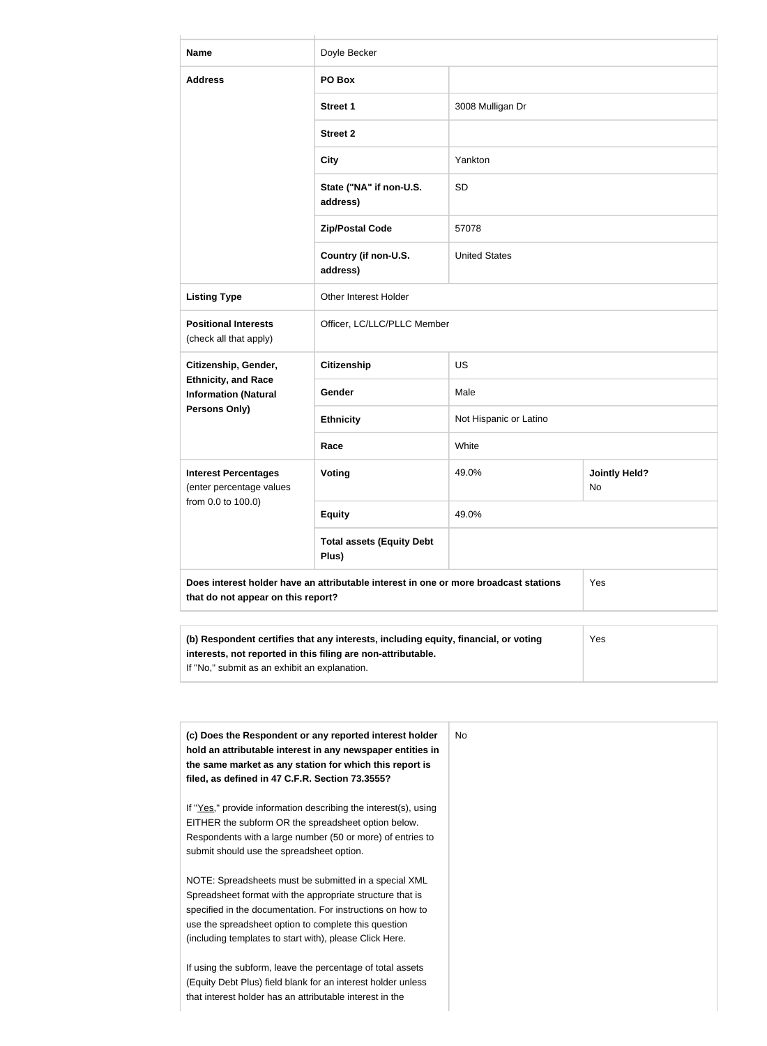| <b>Name</b>                                               | Doyle Becker                                                                         |                        |                            |
|-----------------------------------------------------------|--------------------------------------------------------------------------------------|------------------------|----------------------------|
| <b>Address</b>                                            | PO Box                                                                               |                        |                            |
|                                                           | <b>Street 1</b>                                                                      | 3008 Mulligan Dr       |                            |
|                                                           | <b>Street 2</b>                                                                      |                        |                            |
|                                                           | <b>City</b>                                                                          | Yankton                |                            |
|                                                           | State ("NA" if non-U.S.<br>address)                                                  | <b>SD</b>              |                            |
|                                                           | <b>Zip/Postal Code</b>                                                               | 57078                  |                            |
|                                                           | Country (if non-U.S.<br>address)                                                     | <b>United States</b>   |                            |
| <b>Listing Type</b>                                       | Other Interest Holder                                                                |                        |                            |
| <b>Positional Interests</b><br>(check all that apply)     | Officer, LC/LLC/PLLC Member                                                          |                        |                            |
| Citizenship, Gender,                                      | <b>Citizenship</b>                                                                   | US                     |                            |
| <b>Ethnicity, and Race</b><br><b>Information (Natural</b> | Gender                                                                               | Male                   |                            |
| <b>Persons Only)</b>                                      | <b>Ethnicity</b>                                                                     | Not Hispanic or Latino |                            |
|                                                           | Race                                                                                 | White                  |                            |
| <b>Interest Percentages</b><br>(enter percentage values   | Voting                                                                               | 49.0%                  | <b>Jointly Held?</b><br>No |
| from 0.0 to 100.0)                                        | <b>Equity</b>                                                                        | 49.0%                  |                            |
|                                                           | <b>Total assets (Equity Debt</b><br>Plus)                                            |                        |                            |
| that do not appear on this report?                        | Does interest holder have an attributable interest in one or more broadcast stations |                        | Yes                        |

| (b) Respondent certifies that any interests, including equity, financial, or voting | Yes |
|-------------------------------------------------------------------------------------|-----|
| interests, not reported in this filing are non-attributable.                        |     |
| If "No," submit as an exhibit an explanation.                                       |     |

| (c) Does the Respondent or any reported interest holder<br>hold an attributable interest in any newspaper entities in<br>the same market as any station for which this report is<br>filed, as defined in 47 C.F.R. Section 73.3555? | No. |
|-------------------------------------------------------------------------------------------------------------------------------------------------------------------------------------------------------------------------------------|-----|
| If "Yes," provide information describing the interest(s), using<br>EITHER the subform OR the spreadsheet option below.                                                                                                              |     |
| Respondents with a large number (50 or more) of entries to                                                                                                                                                                          |     |
| submit should use the spreadsheet option.                                                                                                                                                                                           |     |
| NOTE: Spreadsheets must be submitted in a special XML                                                                                                                                                                               |     |
| Spreadsheet format with the appropriate structure that is                                                                                                                                                                           |     |
| specified in the documentation. For instructions on how to                                                                                                                                                                          |     |
| use the spreadsheet option to complete this question                                                                                                                                                                                |     |
| (including templates to start with), please Click Here.                                                                                                                                                                             |     |
| If using the subform, leave the percentage of total assets                                                                                                                                                                          |     |
| (Equity Debt Plus) field blank for an interest holder unless                                                                                                                                                                        |     |
| that interest holder has an attributable interest in the                                                                                                                                                                            |     |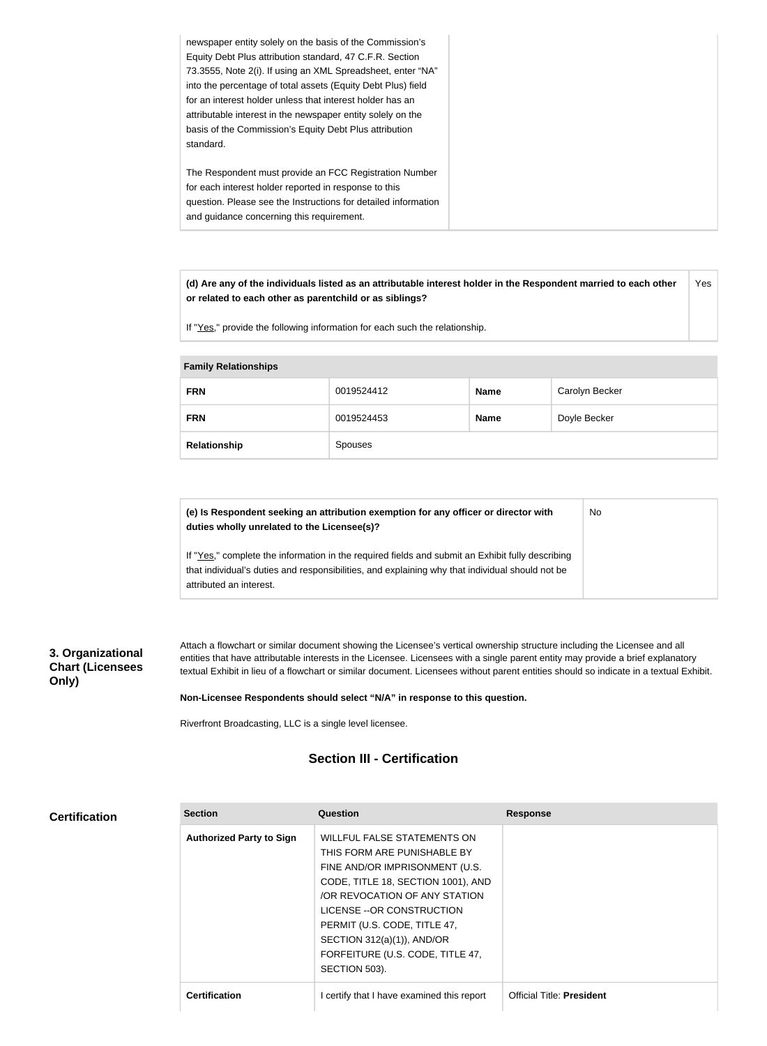| newspaper entity solely on the basis of the Commission's<br>Equity Debt Plus attribution standard, 47 C.F.R. Section<br>73.3555, Note 2(i). If using an XML Spreadsheet, enter "NA"<br>into the percentage of total assets (Equity Debt Plus) field<br>for an interest holder unless that interest holder has an<br>attributable interest in the newspaper entity solely on the<br>basis of the Commission's Equity Debt Plus attribution<br>standard. |
|--------------------------------------------------------------------------------------------------------------------------------------------------------------------------------------------------------------------------------------------------------------------------------------------------------------------------------------------------------------------------------------------------------------------------------------------------------|
| The Respondent must provide an FCC Registration Number<br>for each interest holder reported in response to this<br>question. Please see the Instructions for detailed information<br>and guidance concerning this requirement.                                                                                                                                                                                                                         |

**(d) Are any of the individuals listed as an attributable interest holder in the Respondent married to each other or related to each other as parentchild or as siblings?** Yes

If "Yes," provide the following information for each such the relationship.

#### **Family Relationships**

| <b>FRN</b>   | 0019524412 | <b>Name</b> | Carolyn Becker |
|--------------|------------|-------------|----------------|
| <b>FRN</b>   | 0019524453 | <b>Name</b> | Doyle Becker   |
| Relationship | Spouses    |             |                |

| (e) Is Respondent seeking an attribution exemption for any officer or director with<br>duties wholly unrelated to the Licensee(s)?                                                                  | No |
|-----------------------------------------------------------------------------------------------------------------------------------------------------------------------------------------------------|----|
| If "Yes," complete the information in the required fields and submit an Exhibit fully describing<br>that individual's duties and responsibilities, and explaining why that individual should not be |    |
| attributed an interest.                                                                                                                                                                             |    |

## **3. Organizational Chart (Licensees Only)**

Attach a flowchart or similar document showing the Licensee's vertical ownership structure including the Licensee and all entities that have attributable interests in the Licensee. Licensees with a single parent entity may provide a brief explanatory textual Exhibit in lieu of a flowchart or similar document. Licensees without parent entities should so indicate in a textual Exhibit.

#### **Non-Licensee Respondents should select "N/A" in response to this question.**

Riverfront Broadcasting, LLC is a single level licensee.

# **Section III - Certification**

|  | <b>Certification</b> |
|--|----------------------|
|  |                      |

| <b>Section</b>                  | Question                                                                                                                                                                                                                                                                                                              | <b>Response</b>                  |
|---------------------------------|-----------------------------------------------------------------------------------------------------------------------------------------------------------------------------------------------------------------------------------------------------------------------------------------------------------------------|----------------------------------|
| <b>Authorized Party to Sign</b> | WILLFUL FALSE STATEMENTS ON<br>THIS FORM ARE PUNISHABLE BY<br>FINE AND/OR IMPRISONMENT (U.S.<br>CODE, TITLE 18, SECTION 1001), AND<br>OR REVOCATION OF ANY STATION<br>LICENSE --OR CONSTRUCTION<br>PERMIT (U.S. CODE, TITLE 47,<br>SECTION $312(a)(1)$ ), AND/OR<br>FORFEITURE (U.S. CODE, TITLE 47,<br>SECTION 503). |                                  |
| <b>Certification</b>            | I certify that I have examined this report                                                                                                                                                                                                                                                                            | <b>Official Title: President</b> |